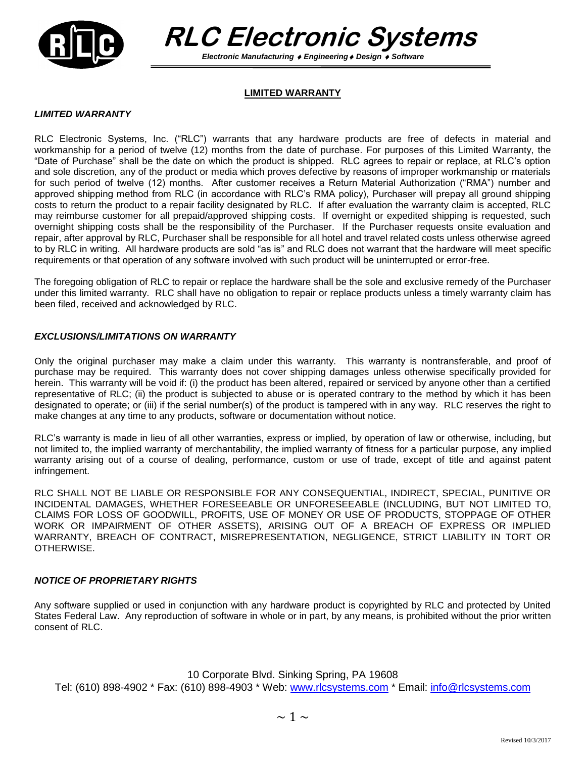

 **RLC Electronic Systems**

 *Electronic Manufacturing Engineering Design Software*

## **LIMITED WARRANTY**

## *LIMITED WARRANTY*

RLC Electronic Systems, Inc. ("RLC") warrants that any hardware products are free of defects in material and workmanship for a period of twelve (12) months from the date of purchase. For purposes of this Limited Warranty, the "Date of Purchase" shall be the date on which the product is shipped. RLC agrees to repair or replace, at RLC's option and sole discretion, any of the product or media which proves defective by reasons of improper workmanship or materials for such period of twelve (12) months. After customer receives a Return Material Authorization ("RMA") number and approved shipping method from RLC (in accordance with RLC's RMA policy), Purchaser will prepay all ground shipping costs to return the product to a repair facility designated by RLC. If after evaluation the warranty claim is accepted, RLC may reimburse customer for all prepaid/approved shipping costs. If overnight or expedited shipping is requested, such overnight shipping costs shall be the responsibility of the Purchaser. If the Purchaser requests onsite evaluation and repair, after approval by RLC, Purchaser shall be responsible for all hotel and travel related costs unless otherwise agreed to by RLC in writing. All hardware products are sold "as is" and RLC does not warrant that the hardware will meet specific requirements or that operation of any software involved with such product will be uninterrupted or error-free.

The foregoing obligation of RLC to repair or replace the hardware shall be the sole and exclusive remedy of the Purchaser under this limited warranty. RLC shall have no obligation to repair or replace products unless a timely warranty claim has been filed, received and acknowledged by RLC.

## *EXCLUSIONS/LIMITATIONS ON WARRANTY*

Only the original purchaser may make a claim under this warranty. This warranty is nontransferable, and proof of purchase may be required. This warranty does not cover shipping damages unless otherwise specifically provided for herein. This warranty will be void if: (i) the product has been altered, repaired or serviced by anyone other than a certified representative of RLC; (ii) the product is subjected to abuse or is operated contrary to the method by which it has been designated to operate; or (iii) if the serial number(s) of the product is tampered with in any way. RLC reserves the right to make changes at any time to any products, software or documentation without notice.

RLC's warranty is made in lieu of all other warranties, express or implied, by operation of law or otherwise, including, but not limited to, the implied warranty of merchantability, the implied warranty of fitness for a particular purpose, any implied warranty arising out of a course of dealing, performance, custom or use of trade, except of title and against patent infringement.

RLC SHALL NOT BE LIABLE OR RESPONSIBLE FOR ANY CONSEQUENTIAL, INDIRECT, SPECIAL, PUNITIVE OR INCIDENTAL DAMAGES, WHETHER FORESEEABLE OR UNFORESEEABLE (INCLUDING, BUT NOT LIMITED TO, CLAIMS FOR LOSS OF GOODWILL, PROFITS, USE OF MONEY OR USE OF PRODUCTS, STOPPAGE OF OTHER WORK OR IMPAIRMENT OF OTHER ASSETS), ARISING OUT OF A BREACH OF EXPRESS OR IMPLIED WARRANTY, BREACH OF CONTRACT, MISREPRESENTATION, NEGLIGENCE, STRICT LIABILITY IN TORT OR OTHERWISE.

## *NOTICE OF PROPRIETARY RIGHTS*

Any software supplied or used in conjunction with any hardware product is copyrighted by RLC and protected by United States Federal Law. Any reproduction of software in whole or in part, by any means, is prohibited without the prior written consent of RLC.

10 Corporate Blvd. Sinking Spring, PA 19608 Tel: (610) 898-4902 \* Fax: (610) 898-4903 \* Web: [www.rlcsystems.com](http://www.richardlee.com/) \* Email: [info@rlcsystems.com](mailto:info@rlcsystems.com)